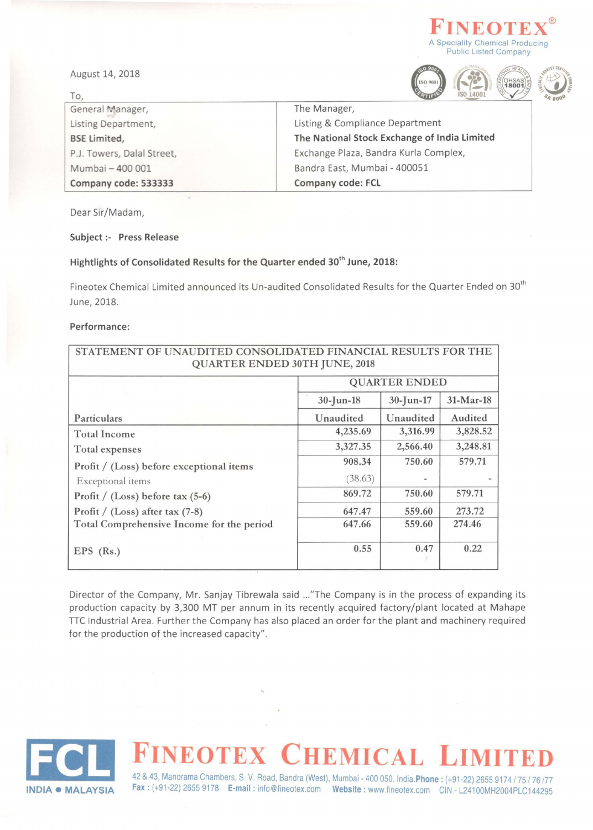



 $\frac{1}{1800}$ 



To, General Manager, Listing Department, **BSE** Limited, P.J. Towers, Dalal Street, Mumbai - 400 001 Company code: 533333 The Manager, Listing & Compliance Department The National Stock Exchange of India Limited Exchange Plaza, Bandra Kurla Complex, Bandra East, Mumbai - 400051 Company code: FCL

Dear Sir/Madam,

### Subject:- Press Release

### Hightlights of Consolidated Results for the Quarter ended 30<sup>th</sup> June, 2018:

Fineotex Chemical Limited announced its Un-audited Consolidated Results for the Quarter Ended on 30<sup>th</sup> June, 2018.

### Performance:

| STATEMENT OF UNAUDITED CONSOLIDATED FINANCIAL RESULTS FOR THE<br><b>QUARTER ENDED 30TH JUNE, 2018</b> |                      |                          |           |
|-------------------------------------------------------------------------------------------------------|----------------------|--------------------------|-----------|
|                                                                                                       | <b>QUARTER ENDED</b> |                          |           |
|                                                                                                       | $30$ -Jun-18         | $30 - Jun - 17$          | 31-Mar-18 |
| Particulars                                                                                           | Unaudited            | Unaudited                | Audited   |
| <b>Total Income</b>                                                                                   | 4,235.69             | 3,316.99                 | 3,828.52  |
| Total expenses                                                                                        | 3,327.35             | 2,566.40                 | 3,248.81  |
| Profit / (Loss) before exceptional items                                                              | 908.34               | 750.60                   | 579.71    |
| Exceptional items                                                                                     | (38.63)              | $\overline{\phantom{a}}$ |           |
| Profit / (Loss) before tax $(5-6)$                                                                    | 869.72               | 750.60                   | 579.71    |
| Profit / (Loss) after tax $(7-8)$                                                                     | 647.47               | 559.60                   | 273.72    |
| Total Comprehensive Income for the period                                                             | 647.66               | 559.60                   | 274.46    |
| EPS $(Rs.)$                                                                                           | 0.55                 | 0.47                     | 0.22      |

Director of the Company, Mr. Sanjay Tibrewala said ... "The Company is in the process of expanding its production capacity by 3,300 MT per annum in its recently acquired factory/plant located at Mahape TIC Industrial Area . Further the Company has also placed an order for the plant and machinery required for the production of the increased capacity".



# **NEOTEX CHEMICAL L**

42 & 43, Manorama Chambers, S. V. Road, Bandra (West), Mumbai - 400 050. India. Phone: (+91-22) 2655 9174 / 75 / 76 / 77 Fax: (+91·22) 2655 9178 E-mail: info@fineotex.com Website: www.fineotex.com CIN· L24100MH2004PLC144295